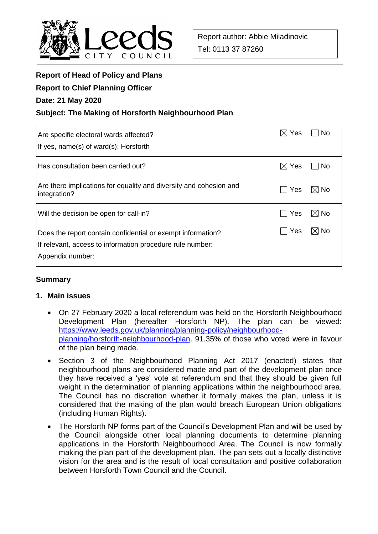

# **Report of Head of Policy and Plans**

## **Report to Chief Planning Officer**

## **Date: 21 May 2020**

# **Subject: The Making of Horsforth Neighbourhood Plan**

| Are specific electoral wards affected?<br>If yes, name(s) of ward(s): Horsforth                                                              | I⊠ Yes          | No             |
|----------------------------------------------------------------------------------------------------------------------------------------------|-----------------|----------------|
| Has consultation been carried out?                                                                                                           | $\boxtimes$ Yes | ∣No            |
| Are there implications for equality and diversity and cohesion and<br>integration?                                                           | Yes             | $\boxtimes$ No |
| Will the decision be open for call-in?                                                                                                       | Yes             | ⊠ No           |
| Does the report contain confidential or exempt information?<br>If relevant, access to information procedure rule number:<br>Appendix number: | Yes             | $\boxtimes$ No |

# **Summary**

## **1. Main issues**

- On 27 February 2020 a local referendum was held on the Horsforth Neighbourhood Development Plan (hereafter Horsforth NP). The plan can be viewed: [https://www.leeds.gov.uk/planning/planning-policy/neighbourhood](https://www.leeds.gov.uk/planning/planning-policy/neighbourhood-planning/horsforth-neighbourhood-plan)[planning/horsforth-neighbourhood-plan.](https://www.leeds.gov.uk/planning/planning-policy/neighbourhood-planning/horsforth-neighbourhood-plan) 91.35% of those who voted were in favour of the plan being made.
- Section 3 of the Neighbourhood Planning Act 2017 (enacted) states that neighbourhood plans are considered made and part of the development plan once they have received a 'yes' vote at referendum and that they should be given full weight in the determination of planning applications within the neighbourhood area. The Council has no discretion whether it formally makes the plan, unless it is considered that the making of the plan would breach European Union obligations (including Human Rights).
- The Horsforth NP forms part of the Council's Development Plan and will be used by the Council alongside other local planning documents to determine planning applications in the Horsforth Neighbourhood Area. The Council is now formally making the plan part of the development plan. The pan sets out a locally distinctive vision for the area and is the result of local consultation and positive collaboration between Horsforth Town Council and the Council.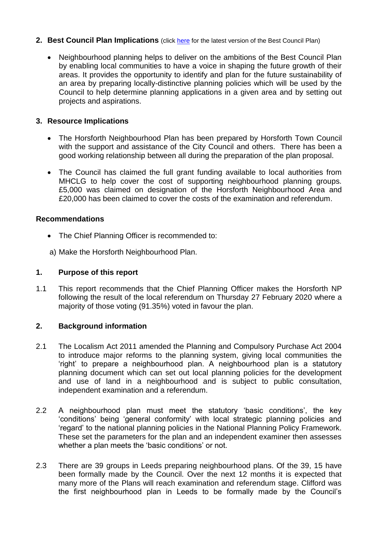## **2. Best Council Plan Implications** (click [here](https://www.leeds.gov.uk/your-council/plans-and-strategies/council-plans) for the latest version of the Best Council Plan)

 Neighbourhood planning helps to deliver on the ambitions of the Best Council Plan by enabling local communities to have a voice in shaping the future growth of their areas. It provides the opportunity to identify and plan for the future sustainability of an area by preparing locally-distinctive planning policies which will be used by the Council to help determine planning applications in a given area and by setting out projects and aspirations.

# **3. Resource Implications**

- The Horsforth Neighbourhood Plan has been prepared by Horsforth Town Council with the support and assistance of the City Council and others. There has been a good working relationship between all during the preparation of the plan proposal.
- The Council has claimed the full grant funding available to local authorities from MHCLG to help cover the cost of supporting neighbourhood planning groups. £5,000 was claimed on designation of the Horsforth Neighbourhood Area and £20,000 has been claimed to cover the costs of the examination and referendum.

## **Recommendations**

- The Chief Planning Officer is recommended to:
- a) Make the Horsforth Neighbourhood Plan.

# **1. Purpose of this report**

1.1 This report recommends that the Chief Planning Officer makes the Horsforth NP following the result of the local referendum on Thursday 27 February 2020 where a majority of those voting (91.35%) voted in favour the plan.

# **2. Background information**

- 2.1 The Localism Act 2011 amended the Planning and Compulsory Purchase Act 2004 to introduce major reforms to the planning system, giving local communities the 'right' to prepare a neighbourhood plan. A neighbourhood plan is a statutory planning document which can set out local planning policies for the development and use of land in a neighbourhood and is subject to public consultation, independent examination and a referendum.
- 2.2 A neighbourhood plan must meet the statutory 'basic conditions', the key 'conditions' being 'general conformity' with local strategic planning policies and 'regard' to the national planning policies in the National Planning Policy Framework. These set the parameters for the plan and an independent examiner then assesses whether a plan meets the 'basic conditions' or not.
- 2.3 There are 39 groups in Leeds preparing neighbourhood plans. Of the 39, 15 have been formally made by the Council. Over the next 12 months it is expected that many more of the Plans will reach examination and referendum stage. Clifford was the first neighbourhood plan in Leeds to be formally made by the Council's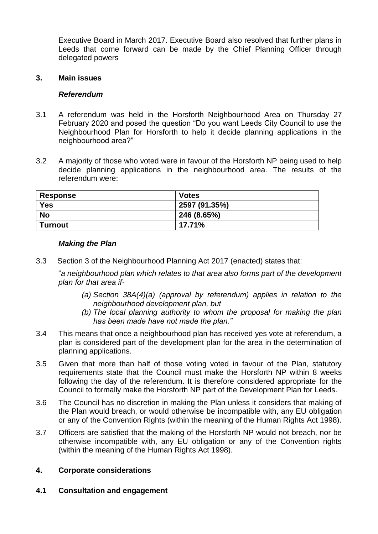Executive Board in March 2017. Executive Board also resolved that further plans in Leeds that come forward can be made by the Chief Planning Officer through delegated powers

#### **3. Main issues**

#### *Referendum*

- 3.1 A referendum was held in the Horsforth Neighbourhood Area on Thursday 27 February 2020 and posed the question "Do you want Leeds City Council to use the Neighbourhood Plan for Horsforth to help it decide planning applications in the neighbourhood area?"
- 3.2 A majority of those who voted were in favour of the Horsforth NP being used to help decide planning applications in the neighbourhood area. The results of the referendum were:

| <b>Response</b> | <b>Votes</b>  |
|-----------------|---------------|
| <b>Yes</b>      | 2597 (91.35%) |
| <b>No</b>       | 246 (8.65%)   |
| <b>Turnout</b>  | 17.71%        |

#### *Making the Plan*

3.3 Section 3 of the Neighbourhood Planning Act 2017 (enacted) states that:

"*a neighbourhood plan which relates to that area also forms part of the development plan for that area if-*

- *(a) Section 38A(4)(a) (approval by referendum) applies in relation to the neighbourhood development plan, but*
- *(b) The local planning authority to whom the proposal for making the plan has been made have not made the plan."*
- 3.4 This means that once a neighbourhood plan has received yes vote at referendum, a plan is considered part of the development plan for the area in the determination of planning applications.
- 3.5 Given that more than half of those voting voted in favour of the Plan, statutory requirements state that the Council must make the Horsforth NP within 8 weeks following the day of the referendum. It is therefore considered appropriate for the Council to formally make the Horsforth NP part of the Development Plan for Leeds.
- 3.6 The Council has no discretion in making the Plan unless it considers that making of the Plan would breach, or would otherwise be incompatible with, any EU obligation or any of the Convention Rights (within the meaning of the Human Rights Act 1998).
- 3.7 Officers are satisfied that the making of the Horsforth NP would not breach, nor be otherwise incompatible with, any EU obligation or any of the Convention rights (within the meaning of the Human Rights Act 1998).

## **4. Corporate considerations**

**4.1 Consultation and engagement**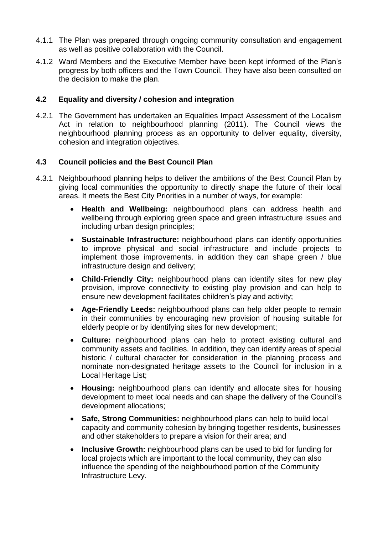- 4.1.1 The Plan was prepared through ongoing community consultation and engagement as well as positive collaboration with the Council.
- 4.1.2 Ward Members and the Executive Member have been kept informed of the Plan's progress by both officers and the Town Council. They have also been consulted on the decision to make the plan.

## **4.2 Equality and diversity / cohesion and integration**

4.2.1 The Government has undertaken an Equalities Impact Assessment of the Localism Act in relation to neighbourhood planning (2011). The Council views the neighbourhood planning process as an opportunity to deliver equality, diversity, cohesion and integration objectives.

## **4.3 Council policies and the Best Council Plan**

- 4.3.1 Neighbourhood planning helps to deliver the ambitions of the Best Council Plan by giving local communities the opportunity to directly shape the future of their local areas. It meets the Best City Priorities in a number of ways, for example:
	- **Health and Wellbeing:** neighbourhood plans can address health and wellbeing through exploring green space and green infrastructure issues and including urban design principles;
	- **Sustainable Infrastructure:** neighbourhood plans can identify opportunities to improve physical and social infrastructure and include projects to implement those improvements. in addition they can shape green / blue infrastructure design and delivery;
	- **Child-Friendly City:** neighbourhood plans can identify sites for new play provision, improve connectivity to existing play provision and can help to ensure new development facilitates children's play and activity;
	- **Age-Friendly Leeds:** neighbourhood plans can help older people to remain in their communities by encouraging new provision of housing suitable for elderly people or by identifying sites for new development;
	- **Culture:** neighbourhood plans can help to protect existing cultural and community assets and facilities. In addition, they can identify areas of special historic / cultural character for consideration in the planning process and nominate non-designated heritage assets to the Council for inclusion in a Local Heritage List;
	- **Housing:** neighbourhood plans can identify and allocate sites for housing development to meet local needs and can shape the delivery of the Council's development allocations;
	- **Safe, Strong Communities:** neighbourhood plans can help to build local capacity and community cohesion by bringing together residents, businesses and other stakeholders to prepare a vision for their area; and
	- **Inclusive Growth:** neighbourhood plans can be used to bid for funding for local projects which are important to the local community, they can also influence the spending of the neighbourhood portion of the Community Infrastructure Levy.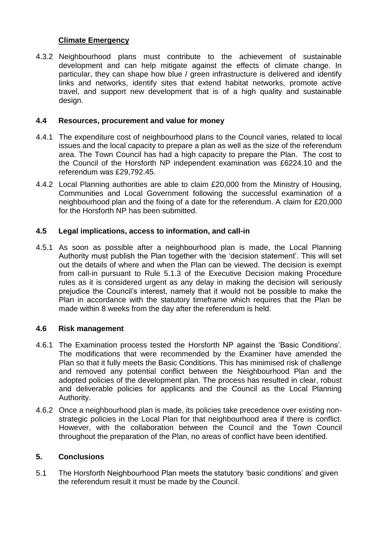# **Climate Emergency**

4.3.2 Neighbourhood plans must contribute to the achievement of sustainable development and can help mitigate against the effects of climate change. In particular, they can shape how blue / green infrastructure is delivered and identify links and networks, identify sites that extend habitat networks, promote active travel, and support new development that is of a high quality and sustainable design.

#### **4.4 Resources, procurement and value for money**

- 4.4.1 The expenditure cost of neighbourhood plans to the Council varies, related to local issues and the local capacity to prepare a plan as well as the size of the referendum area. The Town Council has had a high capacity to prepare the Plan. The cost to the Council of the Horsforth NP independent examination was £6224.10 and the referendum was £29,792.45.
- 4.4.2 Local Planning authorities are able to claim £20,000 from the Ministry of Housing, Communities and Local Government following the successful examination of a neighbourhood plan and the fixing of a date for the referendum. A claim for £20,000 for the Horsforth NP has been submitted.

## **4.5 Legal implications, access to information, and call-in**

4.5.1 As soon as possible after a neighbourhood plan is made, the Local Planning Authority must publish the Plan together with the 'decision statement'. This will set out the details of where and when the Plan can be viewed. The decision is exempt from call-in pursuant to Rule 5.1.3 of the Executive Decision making Procedure rules as it is considered urgent as any delay in making the decision will seriously prejudice the Council's interest, namely that it would not be possible to make the Plan in accordance with the statutory timeframe which requires that the Plan be made within 8 weeks from the day after the referendum is held.

## **4.6 Risk management**

- 4.6.1 The Examination process tested the Horsforth NP against the 'Basic Conditions'. The modifications that were recommended by the Examiner have amended the Plan so that it fully meets the Basic Conditions. This has minimised risk of challenge and removed any potential conflict between the Neighbourhood Plan and the adopted policies of the development plan. The process has resulted in clear, robust and deliverable policies for applicants and the Council as the Local Planning Authority.
- 4.6.2 Once a neighbourhood plan is made, its policies take precedence over existing nonstrategic policies in the Local Plan for that neighbourhood area if there is conflict. However, with the collaboration between the Council and the Town Council throughout the preparation of the Plan, no areas of conflict have been identified.

# **5. Conclusions**

5.1 The Horsforth Neighbourhood Plan meets the statutory 'basic conditions' and given the referendum result it must be made by the Council.